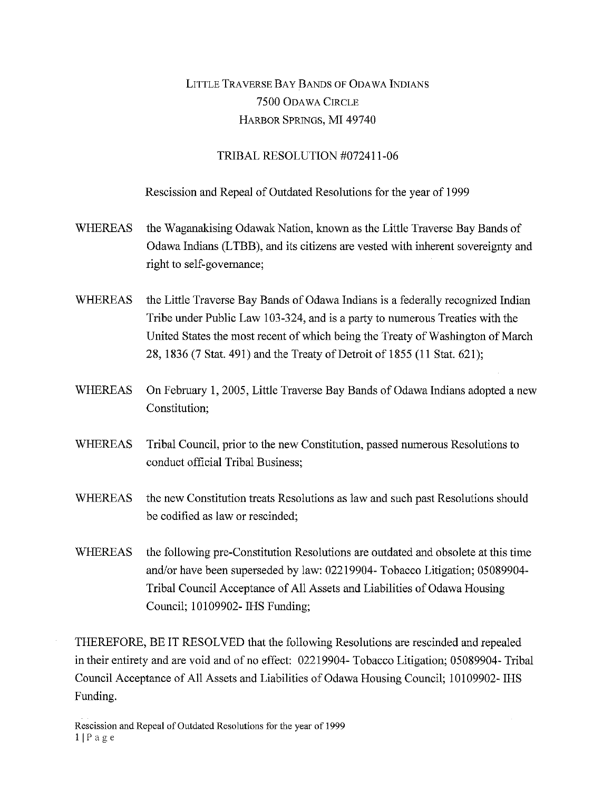## LITTLE TRAVERSE BAY BANDS OF ODAWA INDIANS 7500 ODAWA CIRCLE HARBOR SPRINGS, MI 49740

## TRIBAL RESOLUTION #072411-06

Rescission and Repeal of Outdated Resolutions for the year of 1999

- WHEREAS the Waganakising Odawak Nation, known as the Little Traverse Bay Bands of Odawa Indians (LTBB), and its citizens are vested with inherent sovereignty and right to self-governance;
- WHEREAS the Little Traverse Bay Bands of Odawa Indians is a federally recognized Indian Tribe under Public Law 103-324, and is a party to numerous Treaties with the United States the most recent of which being the Treaty of Washington of March 28, 1836 (7 Stat. 491) and the Treaty of Detroit of 1855 (11 Stat. 621);
- WHEREAS On February 1, 2005, Little Traverse Bay Bands of Odawa Indians adopted a new Constitution;
- WHEREAS Tribal Council, prior to the new Constitution, passed numerous Resolutions to conduct official Tribal Business;
- WHEREAS the new Constitution treats Resolutions as law and such past Resolutions should be codified as law or rescinded;
- WHEREAS the following pre-Constitution Resolutions are outdated and obsolete at this time and/or have been superseded by law: 02219904- Tobacco Litigation; 05089904- Tribal Council Acceptance of All Assets and Liabilities of Odawa Housing Council; 10109902- IHS Funding;

THEREFORE, BE IT RESOLVED that the following Resolutions are rescinded and repealed in their entirety and are void and of no effect: 02219904- Tobacco Litigation; 05089904- Tribal Council Acceptance of All Assets and Liabilities of Odawa Housing Council; 10109902- IHS Funding.